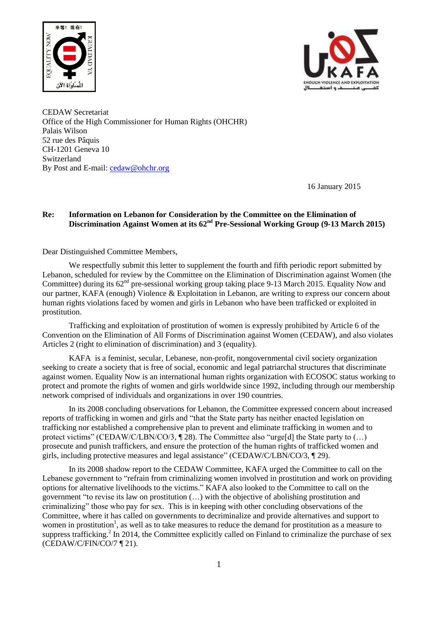



CEDAW Secretariat Office of the High Commissioner for Human Rights (OHCHR) Palais Wilson 52 rue des Pâquis CH-1201 Geneva 10 Switzerland By Post and E-mail: [cedaw@ohchr.org](mailto:cedaw@ohchr.org)

16 January 2015

# **Re: Information on Lebanon for Consideration by the Committee on the Elimination of Discrimination Against Women at its 62nd Pre-Sessional Working Group (9-13 March 2015)**

Dear Distinguished Committee Members,

We respectfully submit this letter to supplement the fourth and fifth periodic report submitted by Lebanon, scheduled for review by the Committee on the Elimination of Discrimination against Women (the Committee) during its  $62<sup>nd</sup>$  pre-sessional working group taking place 9-13 March 2015. Equality Now and our partner, KAFA (enough) Violence & Exploitation in Lebanon, are writing to express our concern about human rights violations faced by women and girls in Lebanon who have been trafficked or exploited in prostitution.

Trafficking and exploitation of prostitution of women is expressly prohibited by Article 6 of the Convention on the Elimination of All Forms of Discrimination against Women (CEDAW), and also violates Articles 2 (right to elimination of discrimination) and 3 (equality).

KAFA is a feminist, secular, Lebanese, non-profit, nongovernmental civil society organization seeking to create a society that is free of social, economic and legal patriarchal structures that discriminate against women. Equality Now is an international human rights organization with ECOSOC status working to protect and promote the rights of women and girls worldwide since 1992, including through our membership network comprised of individuals and organizations in over 190 countries.

In its 2008 concluding observations for Lebanon, the Committee expressed concern about increased reports of trafficking in women and girls and "that the State party has neither enacted legislation on trafficking nor established a comprehensive plan to prevent and eliminate trafficking in women and to protect victims" (CEDAW/C/LBN/CO/3, ¶ 28). The Committee also "urge[d] the State party to (...) prosecute and punish traffickers, and ensure the protection of the human rights of trafficked women and girls, including protective measures and legal assistance" (CEDAW/C/LBN/CO/3, ¶ 29).

In its 2008 shadow report to the CEDAW Committee, KAFA urged the Committee to call on the Lebanese government to "refrain from criminalizing women involved in prostitution and work on providing options for alternative livelihoods to the victims." KAFA also looked to the Committee to call on the government "to revise its law on prostitution (…) with the objective of abolishing prostitution and criminalizing" those who pay for sex. This is in keeping with other concluding observations of the Committee, where it has called on governments to decriminalize and provide alternatives and support to women in prostitution<sup>1</sup>, as well as to take measures to reduce the demand for prostitution as a measure to suppress trafficking.<sup>2</sup> In 2014, the Committee explicitly called on Finland to criminalize the purchase of sex (CEDAW/C/FIN/CO/7 ¶ 21).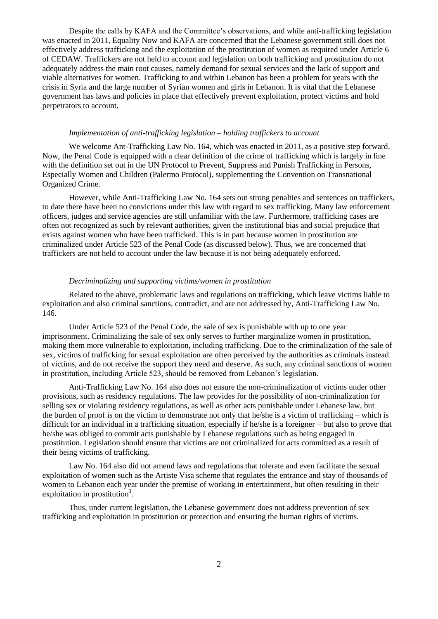Despite the calls by KAFA and the Committee's observations, and while anti-trafficking legislation was enacted in 2011, Equality Now and KAFA are concerned that the Lebanese government still does not effectively address trafficking and the exploitation of the prostitution of women as required under Article 6 of CEDAW. Traffickers are not held to account and legislation on both trafficking and prostitution do not adequately address the main root causes, namely demand for sexual services and the lack of support and viable alternatives for women. Trafficking to and within Lebanon has been a problem for years with the crisis in Syria and the large number of Syrian women and girls in Lebanon. It is vital that the Lebanese government has laws and policies in place that effectively prevent exploitation, protect victims and hold perpetrators to account.

### *Implementation of anti-trafficking legislation – holding traffickers to account*

We welcome Ant-Trafficking Law No. 164, which was enacted in 2011, as a positive step forward. Now, the Penal Code is equipped with a clear definition of the crime of trafficking which is largely in line with the definition set out in the UN Protocol to Prevent, Suppress and Punish Trafficking in Persons, Especially Women and Children (Palermo Protocol), supplementing the Convention on Transnational Organized Crime.

However, while Anti-Trafficking Law No. 164 sets out strong penalties and sentences on traffickers, to date there have been no convictions under this law with regard to sex trafficking. Many law enforcement officers, judges and service agencies are still unfamiliar with the law. Furthermore, trafficking cases are often not recognized as such by relevant authorities, given the institutional bias and social prejudice that exists against women who have been trafficked. This is in part because women in prostitution are criminalized under Article 523 of the Penal Code (as discussed below). Thus, we are concerned that traffickers are not held to account under the law because it is not being adequately enforced.

## *Decriminalizing and supporting victims/women in prostitution*

Related to the above, problematic laws and regulations on trafficking, which leave victims liable to exploitation and also criminal sanctions, contradict, and are not addressed by, Anti-Trafficking Law No. 146.

Under Article 523 of the Penal Code, the sale of sex is punishable with up to one year imprisonment. Criminalizing the sale of sex only serves to further marginalize women in prostitution, making them more vulnerable to exploitation, including trafficking. Due to the criminalization of the sale of sex, victims of trafficking for sexual exploitation are often perceived by the authorities as criminals instead of victims, and do not receive the support they need and deserve. As such, any criminal sanctions of women in prostitution, including Article 523, should be removed from Lebanon's legislation.

Anti-Trafficking Law No. 164 also does not ensure the non-criminalization of victims under other provisions, such as residency regulations. The law provides for the possibility of non-criminalization for selling sex or violating residency regulations, as well as other acts punishable under Lebanese law, but the burden of proof is on the victim to demonstrate not only that he/she is a victim of trafficking – which is difficult for an individual in a trafficking situation, especially if he/she is a foreigner – but also to prove that he/she was obliged to commit acts punishable by Lebanese regulations such as being engaged in prostitution. Legislation should ensure that victims are not criminalized for acts committed as a result of their being victims of trafficking.

Law No. 164 also did not amend laws and regulations that tolerate and even facilitate the sexual exploitation of women such as the Artiste Visa scheme that regulates the entrance and stay of thousands of women to Lebanon each year under the premise of working in entertainment, but often resulting in their exploitation in prostitution<sup>3</sup>.

Thus, under current legislation, the Lebanese government does not address prevention of sex trafficking and exploitation in prostitution or protection and ensuring the human rights of victims.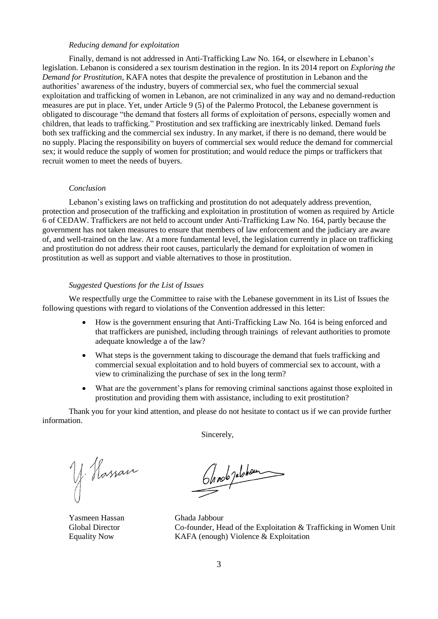### *Reducing demand for exploitation*

Finally, demand is not addressed in Anti-Trafficking Law No. 164, or elsewhere in Lebanon's legislation. Lebanon is considered a sex tourism destination in the region. In its 2014 report on *Exploring the Demand for Prostitution*, KAFA notes that despite the prevalence of prostitution in Lebanon and the authorities' awareness of the industry, buyers of commercial sex, who fuel the commercial sexual exploitation and trafficking of women in Lebanon, are not criminalized in any way and no demand-reduction measures are put in place. Yet, under Article 9 (5) of the Palermo Protocol, the Lebanese government is obligated to discourage "the demand that fosters all forms of exploitation of persons, especially women and children, that leads to trafficking." Prostitution and sex trafficking are inextricably linked. Demand fuels both sex trafficking and the commercial sex industry. In any market, if there is no demand, there would be no supply. Placing the responsibility on buyers of commercial sex would reduce the demand for commercial sex; it would reduce the supply of women for prostitution; and would reduce the pimps or traffickers that recruit women to meet the needs of buyers.

#### *Conclusion*

Lebanon's existing laws on trafficking and prostitution do not adequately address prevention, protection and prosecution of the trafficking and exploitation in prostitution of women as required by Article 6 of CEDAW. Traffickers are not held to account under Anti-Trafficking Law No. 164, partly because the government has not taken measures to ensure that members of law enforcement and the judiciary are aware of, and well-trained on the law. At a more fundamental level, the legislation currently in place on trafficking and prostitution do not address their root causes, particularly the demand for exploitation of women in prostitution as well as support and viable alternatives to those in prostitution.

## *Suggested Questions for the List of Issues*

We respectfully urge the Committee to raise with the Lebanese government in its List of Issues the following questions with regard to violations of the Convention addressed in this letter:

- How is the government ensuring that Anti-Trafficking Law No. 164 is being enforced and that traffickers are punished, including through trainings of relevant authorities to promote adequate knowledge a of the law?
- What steps is the government taking to discourage the demand that fuels trafficking and commercial sexual exploitation and to hold buyers of commercial sex to account, with a view to criminalizing the purchase of sex in the long term?
- What are the government's plans for removing criminal sanctions against those exploited in prostitution and providing them with assistance, including to exit prostitution?

Thank you for your kind attention, and please do not hesitate to contact us if we can provide further information.

Sincerely,

y. Hassan

On nob jubbon

Yasmeen Hassan Ghada Jabbour Global Director Co-founder, Head of the Exploitation & Trafficking in Women Unit Equality Now KAFA (enough) Violence & Exploitation